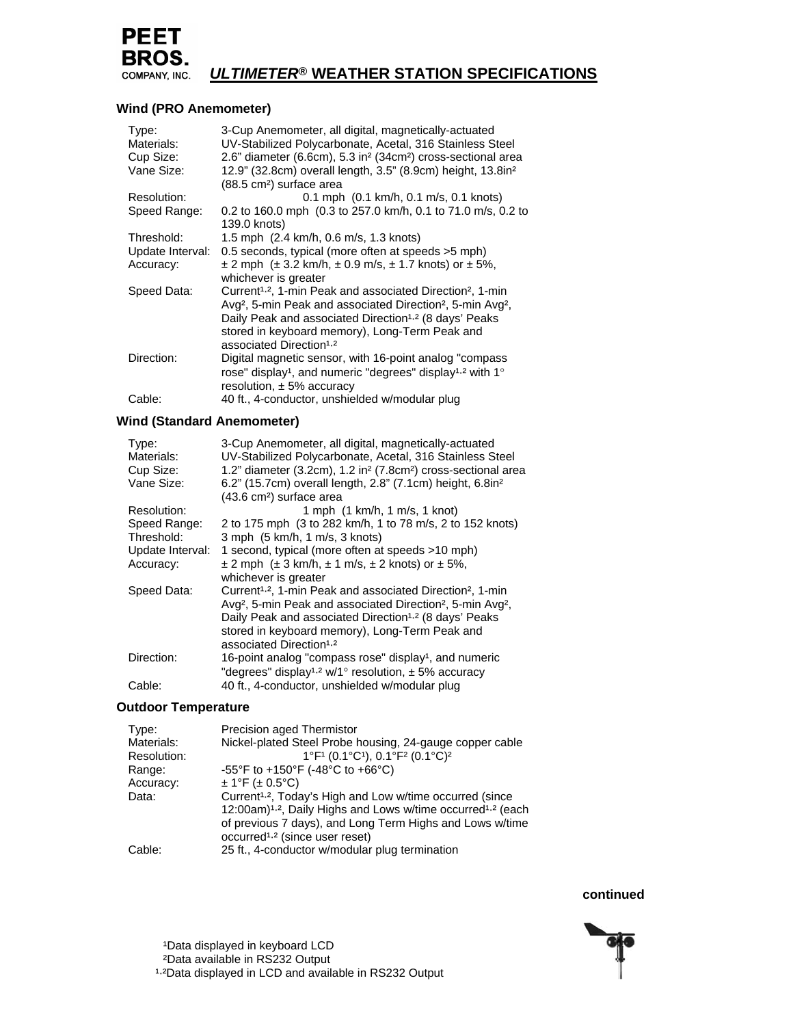

# COMPANY, INC. ULTIMETER<sup>®</sup> WEATHER STATION SPECIFICATIONS

## **Wind (PRO Anemometer)**

| Type:<br>Materials: | 3-Cup Anemometer, all digital, magnetically-actuated<br>UV-Stabilized Polycarbonate, Acetal, 316 Stainless Steel                                                                                                                                                                                           |
|---------------------|------------------------------------------------------------------------------------------------------------------------------------------------------------------------------------------------------------------------------------------------------------------------------------------------------------|
| Cup Size:           | 2.6" diameter (6.6cm), 5.3 in <sup>2</sup> (34cm <sup>2</sup> ) cross-sectional area                                                                                                                                                                                                                       |
| Vane Size:          | 12.9" (32.8cm) overall length, 3.5" (8.9cm) height, 13.8in <sup>2</sup><br>(88.5 cm <sup>2</sup> ) surface area                                                                                                                                                                                            |
| Resolution:         | $0.1$ mph $(0.1$ km/h, $0.1$ m/s, $0.1$ knots)                                                                                                                                                                                                                                                             |
| Speed Range:        | 0.2 to 160.0 mph (0.3 to 257.0 km/h, 0.1 to 71.0 m/s, 0.2 to<br>139.0 knots)                                                                                                                                                                                                                               |
| Threshold:          | 1.5 mph (2.4 km/h, 0.6 m/s, 1.3 knots)                                                                                                                                                                                                                                                                     |
| Update Interval:    | 0.5 seconds, typical (more often at speeds > 5 mph)                                                                                                                                                                                                                                                        |
| Accuracy:           | $\pm$ 2 mph ( $\pm$ 3.2 km/h, $\pm$ 0.9 m/s, $\pm$ 1.7 knots) or $\pm$ 5%,<br>whichever is greater                                                                                                                                                                                                         |
| Speed Data:         | Current <sup>1,2</sup> , 1-min Peak and associated Direction <sup>2</sup> , 1-min<br>Avg <sup>2</sup> , 5-min Peak and associated Direction <sup>2</sup> , 5-min Avg <sup>2</sup> ,<br>Daily Peak and associated Direction <sup>1,2</sup> (8 days' Peaks<br>stored in keyboard memory), Long-Term Peak and |
|                     | associated Direction <sup>1.2</sup>                                                                                                                                                                                                                                                                        |
| Direction:          | Digital magnetic sensor, with 16-point analog "compass"<br>rose" display <sup>1</sup> , and numeric "degrees" display <sup>1,2</sup> with 1°<br>resolution, $\pm$ 5% accuracy                                                                                                                              |
| Cable:              | 40 ft., 4-conductor, unshielded w/modular plug                                                                                                                                                                                                                                                             |

## **Wind (Standard Anemometer)**

| Type:<br>Materials: | 3-Cup Anemometer, all digital, magnetically-actuated<br>UV-Stabilized Polycarbonate, Acetal, 316 Stainless Steel |
|---------------------|------------------------------------------------------------------------------------------------------------------|
| Cup Size:           | 1.2" diameter (3.2cm), 1.2 in <sup>2</sup> (7.8cm <sup>2</sup> ) cross-sectional area                            |
| Vane Size:          | 6.2" (15.7cm) overall length, 2.8" (7.1cm) height, 6.8in <sup>2</sup><br>(43.6 cm <sup>2</sup> ) surface area    |
| Resolution:         | 1 mph (1 km/h, 1 m/s, 1 knot)                                                                                    |
| Speed Range:        | 2 to 175 mph (3 to 282 km/h, 1 to 78 m/s, 2 to 152 knots)                                                        |
| Threshold:          | 3 mph (5 km/h, 1 m/s, 3 knots)                                                                                   |
| Update Interval:    | 1 second, typical (more often at speeds >10 mph)                                                                 |
| Accuracy:           | $\pm$ 2 mph ( $\pm$ 3 km/h, $\pm$ 1 m/s, $\pm$ 2 knots) or $\pm$ 5%,                                             |
|                     | whichever is greater                                                                                             |
| Speed Data:         | Current <sup>1,2</sup> , 1-min Peak and associated Direction <sup>2</sup> , 1-min                                |
|                     | Avg <sup>2</sup> , 5-min Peak and associated Direction <sup>2</sup> , 5-min Avg <sup>2</sup> ,                   |
|                     | Daily Peak and associated Direction <sup>1,2</sup> (8 days' Peaks                                                |
|                     | stored in keyboard memory), Long-Term Peak and                                                                   |
|                     | associated Direction <sup>1.2</sup>                                                                              |
| Direction:          | 16-point analog "compass rose" display <sup>1</sup> , and numeric                                                |
|                     | "degrees" display <sup>1,2</sup> w/1° resolution, $\pm$ 5% accuracy                                              |
| Cable:              | 40 ft., 4-conductor, unshielded w/modular plug                                                                   |

#### **Outdoor Temperature**

| Type:       | <b>Precision aged Thermistor</b>                                                                                                                            |
|-------------|-------------------------------------------------------------------------------------------------------------------------------------------------------------|
| Materials:  | Nickel-plated Steel Probe housing, 24-gauge copper cable                                                                                                    |
| Resolution: | 1°F1 (0.1°C1), 0.1°F2 (0.1°C) <sup>2</sup>                                                                                                                  |
| Range:      | -55°F to +150°F (-48°C to +66°C)                                                                                                                            |
| Accuracy:   | $± 1$ °F (± 0.5°C)                                                                                                                                          |
| Data:       | Current <sup>1,2</sup> , Today's High and Low w/time occurred (since<br>12:00am) <sup>1,2</sup> , Daily Highs and Lows w/time occurred <sup>1,2</sup> (each |
|             | of previous 7 days), and Long Term Highs and Lows w/time                                                                                                    |
|             | occurred <sup>1,2</sup> (since user reset)                                                                                                                  |
| `able:      | 25 ft., 4-conductor w/modular plug termination                                                                                                              |

 **continued** 



1Data displayed in keyboard LCD ²Data available in RS232 Output <sup>1</sup>.<sup>2</sup>Data displayed in LCD and available in RS232 Output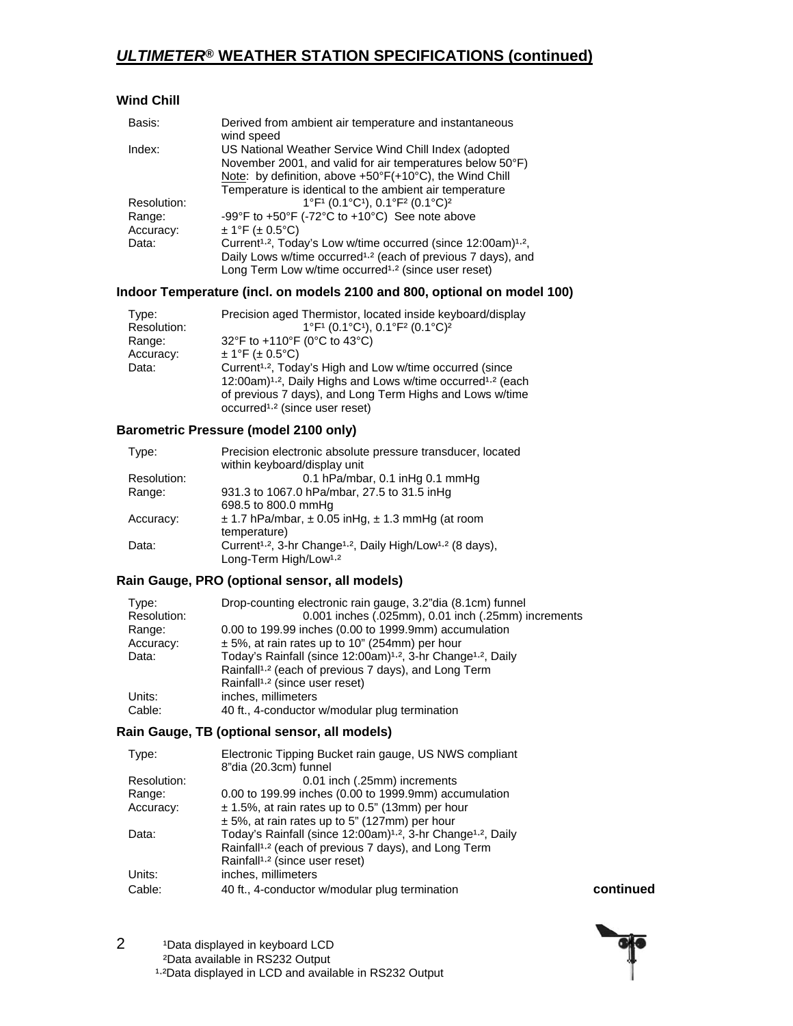# *ULTIMETER***® WEATHER STATION SPECIFICATIONS (continued)**

## **Wind Chill**

| Basis:      | Derived from ambient air temperature and instantaneous<br>wind speed                                                                                                                                                                     |
|-------------|------------------------------------------------------------------------------------------------------------------------------------------------------------------------------------------------------------------------------------------|
| Index:      | US National Weather Service Wind Chill Index (adopted<br>November 2001, and valid for air temperatures below 50°F)<br>Note: by definition, above +50°F(+10°C), the Wind Chill<br>Temperature is identical to the ambient air temperature |
| Resolution: | 1°F1 (0.1°C1), 0.1°F2 (0.1°C) <sup>2</sup>                                                                                                                                                                                               |
| Range:      | -99°F to $+50$ °F (-72°C to $+10$ °C) See note above                                                                                                                                                                                     |
| Accuracy:   | $± 1$ °F (± 0.5°C)                                                                                                                                                                                                                       |
| Data:       | Current <sup>1,2</sup> , Today's Low w/time occurred (since 12:00am) <sup>1,2</sup> ,                                                                                                                                                    |
|             | Daily Lows w/time occurred <sup>1,2</sup> (each of previous 7 days), and                                                                                                                                                                 |
|             | Long Term Low w/time occurred <sup>1,2</sup> (since user reset)                                                                                                                                                                          |

#### **Indoor Temperature (incl. on models 2100 and 800, optional on model 100)**

| Type:<br>Resolution: | Precision aged Thermistor, located inside keyboard/display<br>1°F1 (0.1°C1), 0.1°F2 (0.1°C) <sup>2</sup> |
|----------------------|----------------------------------------------------------------------------------------------------------|
| Range:               | 32°F to +110°F (0°C to 43°C)                                                                             |
| Accuracy:            | $± 1$ °F (± 0.5°C)                                                                                       |
| Data:                | Current <sup>1,2</sup> , Today's High and Low w/time occurred (since                                     |
|                      | 12:00am) <sup>1,2</sup> , Daily Highs and Lows w/time occurred <sup>1,2</sup> (each                      |
|                      | of previous 7 days), and Long Term Highs and Lows w/time                                                 |
|                      | occurred <sup>1,2</sup> (since user reset)                                                               |

## **Barometric Pressure (model 2100 only)**

| Type:       | Precision electronic absolute pressure transducer, located<br>within keyboard/display unit    |
|-------------|-----------------------------------------------------------------------------------------------|
|             |                                                                                               |
| Resolution: | 0.1 hPa/mbar, 0.1 inHg 0.1 mmHg                                                               |
| Range:      | 931.3 to 1067.0 hPa/mbar, 27.5 to 31.5 inHg                                                   |
|             | 698.5 to 800.0 mmHq                                                                           |
| Accuracy:   | $\pm$ 1.7 hPa/mbar, $\pm$ 0.05 inHg, $\pm$ 1.3 mmHg (at room                                  |
|             | temperature)                                                                                  |
| Data:       | Current <sup>1,2</sup> , 3-hr Change <sup>1,2</sup> , Daily High/Low <sup>1,2</sup> (8 days), |
|             | Long-Term High/Low <sup>1,2</sup>                                                             |

## **Rain Gauge, PRO (optional sensor, all models)**

| Type:       | Drop-counting electronic rain gauge, 3.2" dia (8.1cm) funnel                         |
|-------------|--------------------------------------------------------------------------------------|
| Resolution: | 0.001 inches (.025mm), 0.01 inch (.25mm) increments                                  |
| Range:      | 0.00 to 199.99 inches (0.00 to 1999.9mm) accumulation                                |
| Accuracy:   | $\pm$ 5%, at rain rates up to 10" (254mm) per hour                                   |
| Data:       | Today's Rainfall (since 12:00am) <sup>1,2</sup> , 3-hr Change <sup>1,2</sup> , Daily |
|             | Rainfall <sup>1,2</sup> (each of previous 7 days), and Long Term                     |
|             | Rainfall <sup>1,2</sup> (since user reset)                                           |
| Units:      | inches, millimeters                                                                  |
| Cable:      | 40 ft., 4-conductor w/modular plug termination                                       |

#### **Rain Gauge, TB (optional sensor, all models)**

| Type:       | Electronic Tipping Bucket rain gauge, US NWS compliant                               |
|-------------|--------------------------------------------------------------------------------------|
|             | 8"dia (20.3cm) funnel                                                                |
| Resolution: | 0.01 inch (.25mm) increments                                                         |
| Range:      | 0.00 to 199.99 inches (0.00 to 1999.9mm) accumulation                                |
| Accuracy:   | $\pm$ 1.5%, at rain rates up to 0.5" (13mm) per hour                                 |
|             | $\pm$ 5%, at rain rates up to 5" (127mm) per hour                                    |
| Data:       | Today's Rainfall (since 12:00am) <sup>1,2</sup> , 3-hr Change <sup>1,2</sup> , Daily |
|             | Rainfall <sup>1,2</sup> (each of previous 7 days), and Long Term                     |
|             | Rainfall <sup>1,2</sup> (since user reset)                                           |
| Units:      | inches, millimeters                                                                  |
| Cable:      | 40 ft., 4-conductor w/modular plug termination                                       |

 $continued$ 



2 <sup>1</sup>Data displayed in keyboard LCD ²Data available in RS232 Output 1.2Data displayed in LCD and available in RS232 Output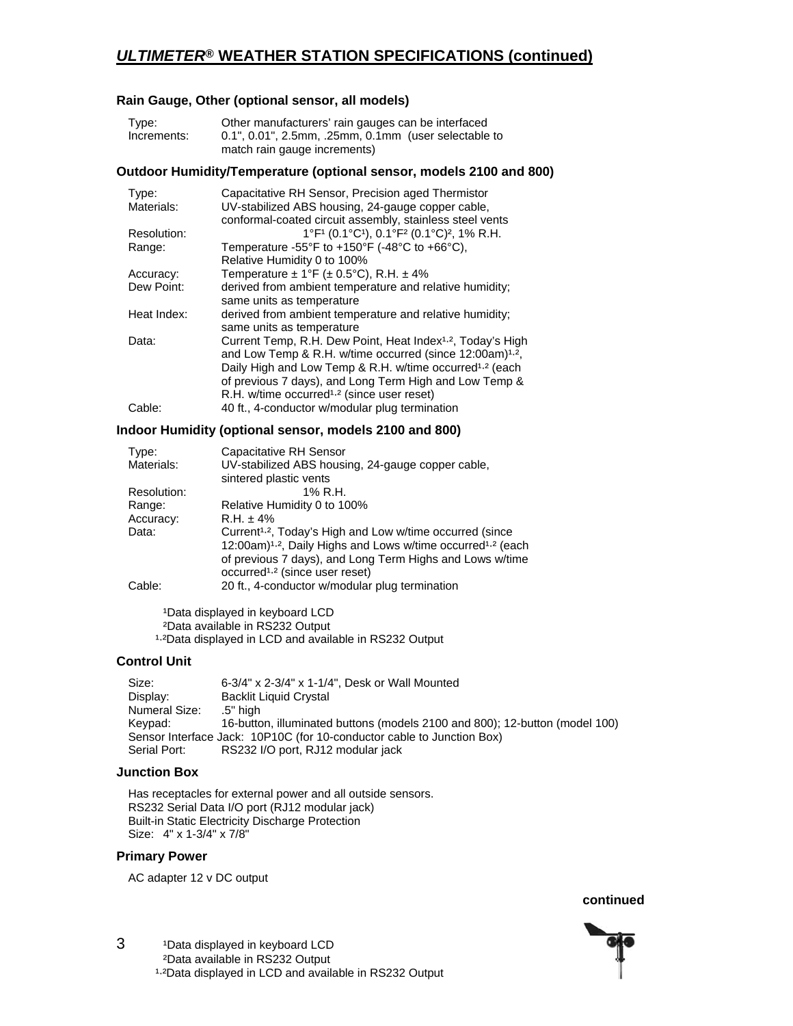## *ULTIMETER***® WEATHER STATION SPECIFICATIONS (continued)**

### **Rain Gauge, Other (optional sensor, all models)**

| Type:       | Other manufacturers' rain gauges can be interfaced   |
|-------------|------------------------------------------------------|
| Increments: | 0.1", 0.01", 2.5mm, .25mm, 0.1mm (user selectable to |
|             | match rain gauge increments)                         |

#### **Outdoor Humidity/Temperature (optional sensor, models 2100 and 800)**

| Type:<br>Materials: | Capacitative RH Sensor, Precision aged Thermistor<br>UV-stabilized ABS housing, 24-gauge copper cable, |
|---------------------|--------------------------------------------------------------------------------------------------------|
|                     | conformal-coated circuit assembly, stainless steel vents                                               |
| Resolution:         | 1°F1 (0.1°C1), 0.1°F2 (0.1°C) <sup>2</sup> , 1% R.H.                                                   |
| Range:              | Temperature -55°F to +150°F (-48°C to +66°C),                                                          |
|                     | Relative Humidity 0 to 100%                                                                            |
| Accuracy:           | Temperature $\pm$ 1°F ( $\pm$ 0.5°C), R.H. $\pm$ 4%                                                    |
| Dew Point:          | derived from ambient temperature and relative humidity;                                                |
|                     | same units as temperature                                                                              |
| Heat Index:         | derived from ambient temperature and relative humidity;                                                |
|                     | same units as temperature                                                                              |
| Data:               | Current Temp, R.H. Dew Point, Heat Index <sup>1,2</sup> , Today's High                                 |
|                     | and Low Temp & R.H. w/time occurred (since 12:00am) <sup>1,2</sup> ,                                   |
|                     | Daily High and Low Temp & R.H. w/time occurred <sup>1,2</sup> (each                                    |
|                     | of previous 7 days), and Long Term High and Low Temp &                                                 |
|                     | R.H. w/time occurred <sup>1,2</sup> (since user reset)                                                 |
| Cable:              | 40 ft., 4-conductor w/modular plug termination                                                         |

#### **Indoor Humidity (optional sensor, models 2100 and 800)**

| Type:       | Capacitative RH Sensor                                                                                                                                                                                                                                                |
|-------------|-----------------------------------------------------------------------------------------------------------------------------------------------------------------------------------------------------------------------------------------------------------------------|
| Materials:  | UV-stabilized ABS housing, 24-gauge copper cable,<br>sintered plastic vents                                                                                                                                                                                           |
| Resolution: | 1% R.H.                                                                                                                                                                                                                                                               |
| Range:      | Relative Humidity 0 to 100%                                                                                                                                                                                                                                           |
| Accuracy:   | $R.H. \pm 4\%$                                                                                                                                                                                                                                                        |
| Data:       | Current <sup>1,2</sup> , Today's High and Low w/time occurred (since<br>12:00am) <sup>1,2</sup> , Daily Highs and Lows w/time occurred <sup>1,2</sup> (each<br>of previous 7 days), and Long Term Highs and Lows w/time<br>occurred <sup>1,2</sup> (since user reset) |
| Cable:      | 20 ft., 4-conductor w/modular plug termination                                                                                                                                                                                                                        |

1Data displayed in keyboard LCD ²Data available in RS232 Output 1.2Data displayed in LCD and available in RS232 Output

#### **Control Unit**

 Size: 6-3/4" x 2-3/4" x 1-1/4", Desk or Wall Mounted Display: Backlit Liquid Crystal Numeral Size: .5" high Keypad: 16-button, illuminated buttons (models 2100 and 800); 12-button (model 100) Sensor Interface Jack: 10P10C (for 10-conductor cable to Junction Box)<br>Serial Port: RS232 I/O port, RJ12 modular jack RS232 I/O port, RJ12 modular jack

#### **Junction Box**

 Has receptacles for external power and all outside sensors. RS232 Serial Data I/O port (RJ12 modular jack) Built-in Static Electricity Discharge Protection Size: 4" x 1-3/4" x 7/8"

#### **Primary Power**

AC adapter 12 v DC output

 *continued* **continued**  *continued* 



3 <sup>1</sup>Data displayed in keyboard LCD ²Data available in RS232 Output 1.2Data displayed in LCD and available in RS232 Output